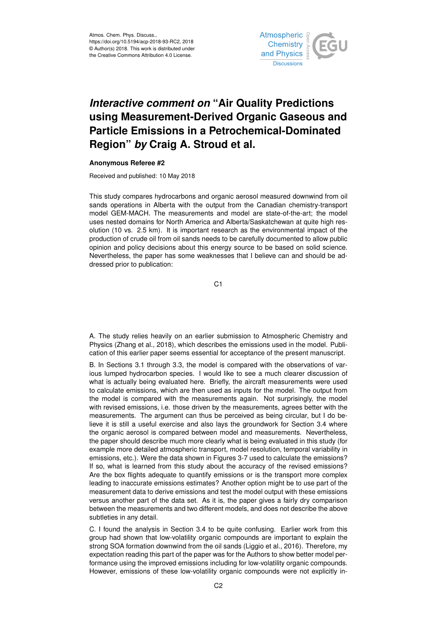

## *Interactive comment on* **"Air Quality Predictions using Measurement-Derived Organic Gaseous and Particle Emissions in a Petrochemical-Dominated Region"** *by* **Craig A. Stroud et al.**

## **Anonymous Referee #2**

Received and published: 10 May 2018

This study compares hydrocarbons and organic aerosol measured downwind from oil sands operations in Alberta with the output from the Canadian chemistry-transport model GEM-MACH. The measurements and model are state-of-the-art; the model uses nested domains for North America and Alberta/Saskatchewan at quite high resolution (10 vs. 2.5 km). It is important research as the environmental impact of the production of crude oil from oil sands needs to be carefully documented to allow public opinion and policy decisions about this energy source to be based on solid science. Nevertheless, the paper has some weaknesses that I believe can and should be addressed prior to publication:

C1

A. The study relies heavily on an earlier submission to Atmospheric Chemistry and Physics (Zhang et al., 2018), which describes the emissions used in the model. Publication of this earlier paper seems essential for acceptance of the present manuscript.

B. In Sections 3.1 through 3.3, the model is compared with the observations of various lumped hydrocarbon species. I would like to see a much clearer discussion of what is actually being evaluated here. Briefly, the aircraft measurements were used to calculate emissions, which are then used as inputs for the model. The output from the model is compared with the measurements again. Not surprisingly, the model with revised emissions, i.e. those driven by the measurements, agrees better with the measurements. The argument can thus be perceived as being circular, but I do believe it is still a useful exercise and also lays the groundwork for Section 3.4 where the organic aerosol is compared between model and measurements. Nevertheless, the paper should describe much more clearly what is being evaluated in this study (for example more detailed atmospheric transport, model resolution, temporal variability in emissions, etc.). Were the data shown in Figures 3-7 used to calculate the emissions? If so, what is learned from this study about the accuracy of the revised emissions? Are the box flights adequate to quantify emissions or is the transport more complex leading to inaccurate emissions estimates? Another option might be to use part of the measurement data to derive emissions and test the model output with these emissions versus another part of the data set. As it is, the paper gives a fairly dry comparison between the measurements and two different models, and does not describe the above subtleties in any detail.

C. I found the analysis in Section 3.4 to be quite confusing. Earlier work from this group had shown that low-volatility organic compounds are important to explain the strong SOA formation downwind from the oil sands (Liggio et al., 2016). Therefore, my expectation reading this part of the paper was for the Authors to show better model performance using the improved emissions including for low-volatility organic compounds. However, emissions of these low-volatility organic compounds were not explicitly in